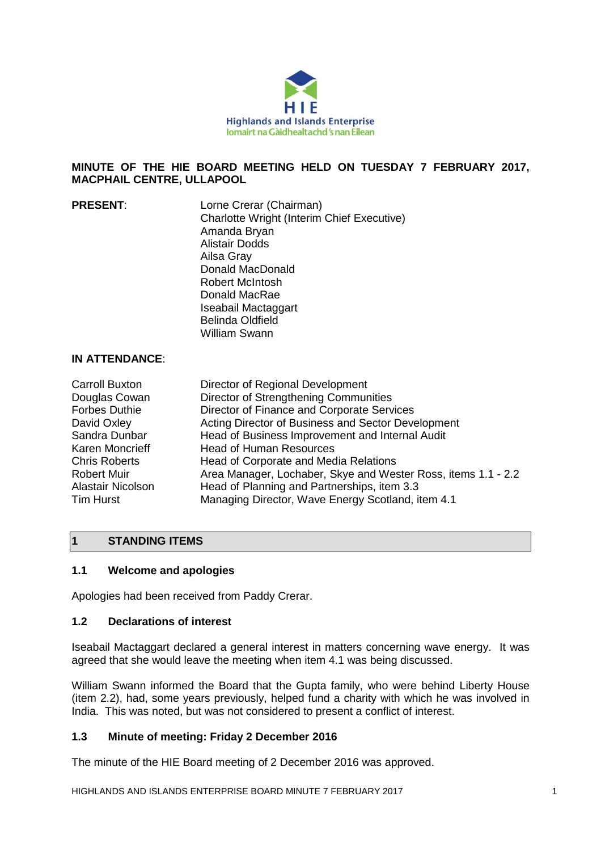

#### **MINUTE OF THE HIE BOARD MEETING HELD ON TUESDAY 7 FEBRUARY 2017, MACPHAIL CENTRE, ULLAPOOL**

| <b>PRESENT:</b> | Lorne Crerar (Chairman)                           |
|-----------------|---------------------------------------------------|
|                 | <b>Charlotte Wright (Interim Chief Executive)</b> |
|                 | Amanda Bryan                                      |
|                 | Alistair Dodds                                    |
|                 | Ailsa Gray                                        |
|                 | Donald MacDonald                                  |
|                 | Robert McIntosh                                   |
|                 | Donald MacRae                                     |
|                 | Iseabail Mactaggart                               |
|                 | <b>Belinda Oldfield</b>                           |
|                 | <b>William Swann</b>                              |
|                 |                                                   |

## **IN ATTENDANCE**:

| Director of Regional Development                              |
|---------------------------------------------------------------|
| Director of Strengthening Communities                         |
| Director of Finance and Corporate Services                    |
| Acting Director of Business and Sector Development            |
| Head of Business Improvement and Internal Audit               |
| <b>Head of Human Resources</b>                                |
| Head of Corporate and Media Relations                         |
| Area Manager, Lochaber, Skye and Wester Ross, items 1.1 - 2.2 |
| Head of Planning and Partnerships, item 3.3                   |
| Managing Director, Wave Energy Scotland, item 4.1             |
|                                                               |

### **1 STANDING ITEMS**

#### **1.1 Welcome and apologies**

Apologies had been received from Paddy Crerar.

#### **1.2 Declarations of interest**

Iseabail Mactaggart declared a general interest in matters concerning wave energy. It was agreed that she would leave the meeting when item 4.1 was being discussed.

William Swann informed the Board that the Gupta family, who were behind Liberty House (item 2.2), had, some years previously, helped fund a charity with which he was involved in India. This was noted, but was not considered to present a conflict of interest.

### **1.3 Minute of meeting: Friday 2 December 2016**

The minute of the HIE Board meeting of 2 December 2016 was approved.

HIGHLANDS AND ISLANDS ENTERPRISE BOARD MINUTE 7 FEBRUARY 2017 1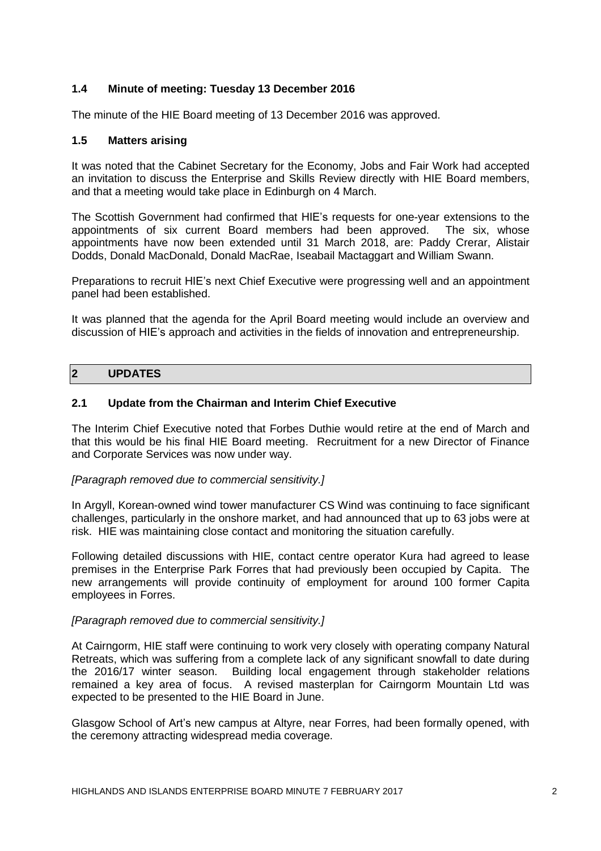### **1.4 Minute of meeting: Tuesday 13 December 2016**

The minute of the HIE Board meeting of 13 December 2016 was approved.

#### **1.5 Matters arising**

It was noted that the Cabinet Secretary for the Economy, Jobs and Fair Work had accepted an invitation to discuss the Enterprise and Skills Review directly with HIE Board members, and that a meeting would take place in Edinburgh on 4 March.

The Scottish Government had confirmed that HIE's requests for one-year extensions to the appointments of six current Board members had been approved. The six, whose appointments have now been extended until 31 March 2018, are: Paddy Crerar, Alistair Dodds, Donald MacDonald, Donald MacRae, Iseabail Mactaggart and William Swann.

Preparations to recruit HIE's next Chief Executive were progressing well and an appointment panel had been established.

It was planned that the agenda for the April Board meeting would include an overview and discussion of HIE's approach and activities in the fields of innovation and entrepreneurship.

### **2 UPDATES**

#### **2.1 Update from the Chairman and Interim Chief Executive**

The Interim Chief Executive noted that Forbes Duthie would retire at the end of March and that this would be his final HIE Board meeting. Recruitment for a new Director of Finance and Corporate Services was now under way.

#### *[Paragraph removed due to commercial sensitivity.]*

In Argyll, Korean-owned wind tower manufacturer CS Wind was continuing to face significant challenges, particularly in the onshore market, and had announced that up to 63 jobs were at risk. HIE was maintaining close contact and monitoring the situation carefully.

Following detailed discussions with HIE, contact centre operator Kura had agreed to lease premises in the Enterprise Park Forres that had previously been occupied by Capita. The new arrangements will provide continuity of employment for around 100 former Capita employees in Forres.

#### *[Paragraph removed due to commercial sensitivity.]*

At Cairngorm, HIE staff were continuing to work very closely with operating company Natural Retreats, which was suffering from a complete lack of any significant snowfall to date during the 2016/17 winter season. Building local engagement through stakeholder relations remained a key area of focus. A revised masterplan for Cairngorm Mountain Ltd was expected to be presented to the HIE Board in June.

Glasgow School of Art's new campus at Altyre, near Forres, had been formally opened, with the ceremony attracting widespread media coverage.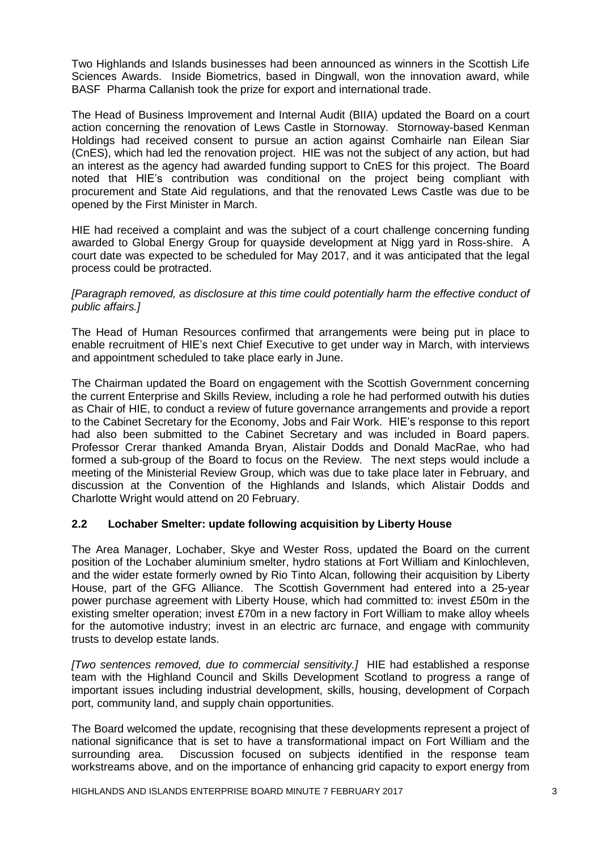Two Highlands and Islands businesses had been announced as winners in the Scottish Life Sciences Awards. Inside Biometrics, based in Dingwall, won the innovation award, while BASF Pharma Callanish took the prize for export and international trade.

The Head of Business Improvement and Internal Audit (BIIA) updated the Board on a court action concerning the renovation of Lews Castle in Stornoway. Stornoway-based Kenman Holdings had received consent to pursue an action against Comhairle nan Eilean Siar (CnES), which had led the renovation project. HIE was not the subject of any action, but had an interest as the agency had awarded funding support to CnES for this project. The Board noted that HIE's contribution was conditional on the project being compliant with procurement and State Aid regulations, and that the renovated Lews Castle was due to be opened by the First Minister in March.

HIE had received a complaint and was the subject of a court challenge concerning funding awarded to Global Energy Group for quayside development at Nigg yard in Ross-shire. A court date was expected to be scheduled for May 2017, and it was anticipated that the legal process could be protracted.

*[Paragraph removed, as disclosure at this time could potentially harm the effective conduct of public affairs.]* 

The Head of Human Resources confirmed that arrangements were being put in place to enable recruitment of HIE's next Chief Executive to get under way in March, with interviews and appointment scheduled to take place early in June.

The Chairman updated the Board on engagement with the Scottish Government concerning the current Enterprise and Skills Review, including a role he had performed outwith his duties as Chair of HIE, to conduct a review of future governance arrangements and provide a report to the Cabinet Secretary for the Economy, Jobs and Fair Work. HIE's response to this report had also been submitted to the Cabinet Secretary and was included in Board papers. Professor Crerar thanked Amanda Bryan, Alistair Dodds and Donald MacRae, who had formed a sub-group of the Board to focus on the Review. The next steps would include a meeting of the Ministerial Review Group, which was due to take place later in February, and discussion at the Convention of the Highlands and Islands, which Alistair Dodds and Charlotte Wright would attend on 20 February.

### **2.2 Lochaber Smelter: update following acquisition by Liberty House**

The Area Manager, Lochaber, Skye and Wester Ross, updated the Board on the current position of the Lochaber aluminium smelter, hydro stations at Fort William and Kinlochleven, and the wider estate formerly owned by Rio Tinto Alcan, following their acquisition by Liberty House, part of the GFG Alliance. The Scottish Government had entered into a 25-year power purchase agreement with Liberty House, which had committed to: invest £50m in the existing smelter operation; invest £70m in a new factory in Fort William to make alloy wheels for the automotive industry; invest in an electric arc furnace, and engage with community trusts to develop estate lands.

*[Two sentences removed, due to commercial sensitivity.]* HIE had established a response team with the Highland Council and Skills Development Scotland to progress a range of important issues including industrial development, skills, housing, development of Corpach port, community land, and supply chain opportunities.

The Board welcomed the update, recognising that these developments represent a project of national significance that is set to have a transformational impact on Fort William and the surrounding area. Discussion focused on subjects identified in the response team workstreams above, and on the importance of enhancing grid capacity to export energy from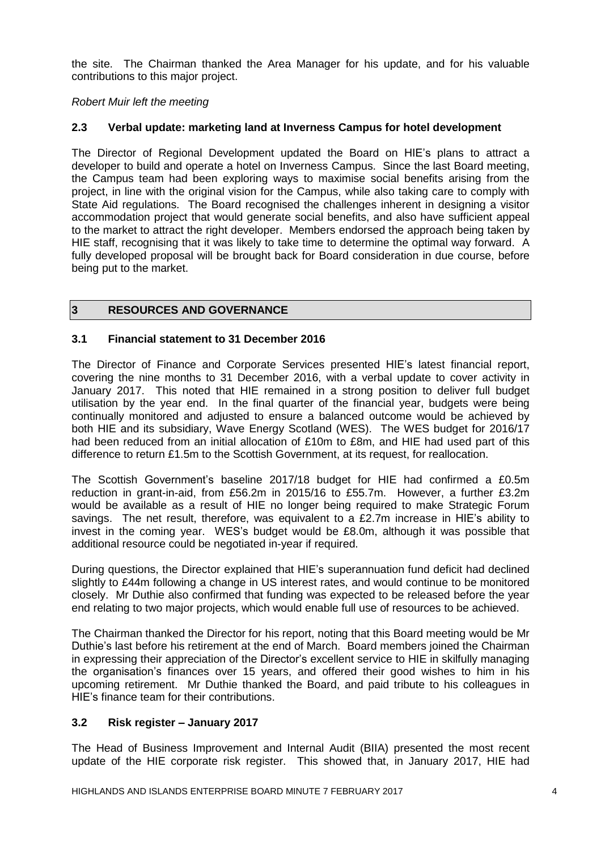the site. The Chairman thanked the Area Manager for his update, and for his valuable contributions to this major project.

### *Robert Muir left the meeting*

### **2.3 Verbal update: marketing land at Inverness Campus for hotel development**

The Director of Regional Development updated the Board on HIE's plans to attract a developer to build and operate a hotel on Inverness Campus. Since the last Board meeting, the Campus team had been exploring ways to maximise social benefits arising from the project, in line with the original vision for the Campus, while also taking care to comply with State Aid regulations. The Board recognised the challenges inherent in designing a visitor accommodation project that would generate social benefits, and also have sufficient appeal to the market to attract the right developer. Members endorsed the approach being taken by HIE staff, recognising that it was likely to take time to determine the optimal way forward. A fully developed proposal will be brought back for Board consideration in due course, before being put to the market.

### **3 RESOURCES AND GOVERNANCE**

### **3.1 Financial statement to 31 December 2016**

The Director of Finance and Corporate Services presented HIE's latest financial report, covering the nine months to 31 December 2016, with a verbal update to cover activity in January 2017. This noted that HIE remained in a strong position to deliver full budget utilisation by the year end. In the final quarter of the financial year, budgets were being continually monitored and adjusted to ensure a balanced outcome would be achieved by both HIE and its subsidiary, Wave Energy Scotland (WES). The WES budget for 2016/17 had been reduced from an initial allocation of £10m to £8m, and HIE had used part of this difference to return £1.5m to the Scottish Government, at its request, for reallocation.

The Scottish Government's baseline 2017/18 budget for HIE had confirmed a £0.5m reduction in grant-in-aid, from £56.2m in 2015/16 to £55.7m. However, a further £3.2m would be available as a result of HIE no longer being required to make Strategic Forum savings. The net result, therefore, was equivalent to a £2.7m increase in HIE's ability to invest in the coming year. WES's budget would be £8.0m, although it was possible that additional resource could be negotiated in-year if required.

During questions, the Director explained that HIE's superannuation fund deficit had declined slightly to £44m following a change in US interest rates, and would continue to be monitored closely. Mr Duthie also confirmed that funding was expected to be released before the year end relating to two major projects, which would enable full use of resources to be achieved.

The Chairman thanked the Director for his report, noting that this Board meeting would be Mr Duthie's last before his retirement at the end of March. Board members joined the Chairman in expressing their appreciation of the Director's excellent service to HIE in skilfully managing the organisation's finances over 15 years, and offered their good wishes to him in his upcoming retirement. Mr Duthie thanked the Board, and paid tribute to his colleagues in HIE's finance team for their contributions.

### **3.2 Risk register – January 2017**

The Head of Business Improvement and Internal Audit (BIIA) presented the most recent update of the HIE corporate risk register. This showed that, in January 2017, HIE had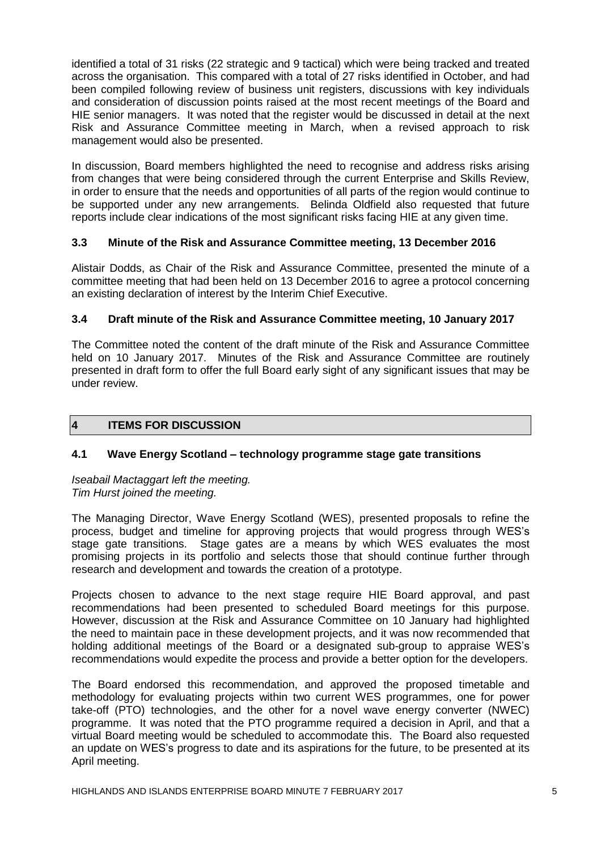identified a total of 31 risks (22 strategic and 9 tactical) which were being tracked and treated across the organisation. This compared with a total of 27 risks identified in October, and had been compiled following review of business unit registers, discussions with key individuals and consideration of discussion points raised at the most recent meetings of the Board and HIE senior managers. It was noted that the register would be discussed in detail at the next Risk and Assurance Committee meeting in March, when a revised approach to risk management would also be presented.

In discussion, Board members highlighted the need to recognise and address risks arising from changes that were being considered through the current Enterprise and Skills Review, in order to ensure that the needs and opportunities of all parts of the region would continue to be supported under any new arrangements. Belinda Oldfield also requested that future reports include clear indications of the most significant risks facing HIE at any given time.

# **3.3 Minute of the Risk and Assurance Committee meeting, 13 December 2016**

Alistair Dodds, as Chair of the Risk and Assurance Committee, presented the minute of a committee meeting that had been held on 13 December 2016 to agree a protocol concerning an existing declaration of interest by the Interim Chief Executive.

### **3.4 Draft minute of the Risk and Assurance Committee meeting, 10 January 2017**

The Committee noted the content of the draft minute of the Risk and Assurance Committee held on 10 January 2017. Minutes of the Risk and Assurance Committee are routinely presented in draft form to offer the full Board early sight of any significant issues that may be under review.

## **4 ITEMS FOR DISCUSSION**

### **4.1 Wave Energy Scotland – technology programme stage gate transitions**

*Iseabail Mactaggart left the meeting. Tim Hurst joined the meeting.*

The Managing Director, Wave Energy Scotland (WES), presented proposals to refine the process, budget and timeline for approving projects that would progress through WES's stage gate transitions. Stage gates are a means by which WES evaluates the most promising projects in its portfolio and selects those that should continue further through research and development and towards the creation of a prototype.

Projects chosen to advance to the next stage require HIE Board approval, and past recommendations had been presented to scheduled Board meetings for this purpose. However, discussion at the Risk and Assurance Committee on 10 January had highlighted the need to maintain pace in these development projects, and it was now recommended that holding additional meetings of the Board or a designated sub-group to appraise WES's recommendations would expedite the process and provide a better option for the developers.

The Board endorsed this recommendation, and approved the proposed timetable and methodology for evaluating projects within two current WES programmes, one for power take-off (PTO) technologies, and the other for a novel wave energy converter (NWEC) programme. It was noted that the PTO programme required a decision in April, and that a virtual Board meeting would be scheduled to accommodate this. The Board also requested an update on WES's progress to date and its aspirations for the future, to be presented at its April meeting.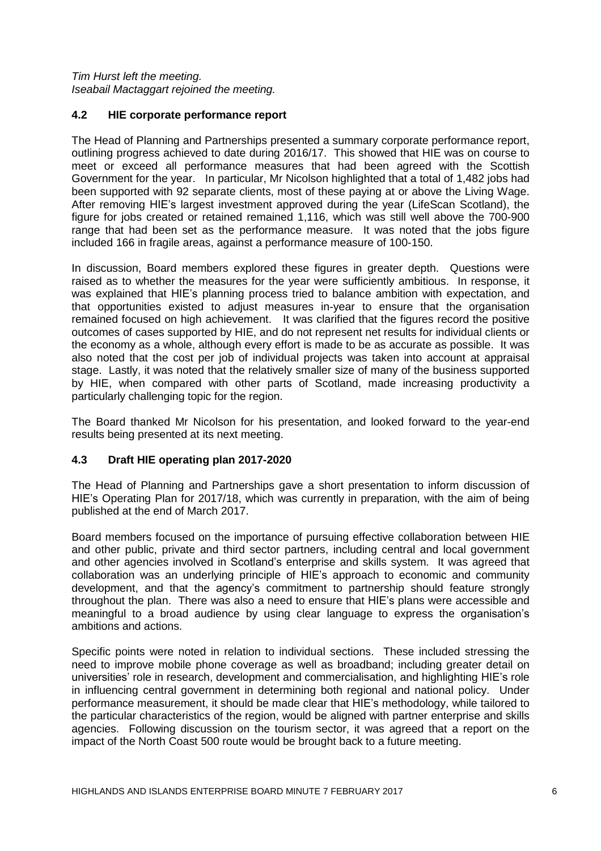#### *Tim Hurst left the meeting. Iseabail Mactaggart rejoined the meeting.*

### **4.2 HIE corporate performance report**

The Head of Planning and Partnerships presented a summary corporate performance report, outlining progress achieved to date during 2016/17. This showed that HIE was on course to meet or exceed all performance measures that had been agreed with the Scottish Government for the year. In particular, Mr Nicolson highlighted that a total of 1,482 jobs had been supported with 92 separate clients, most of these paying at or above the Living Wage. After removing HIE's largest investment approved during the year (LifeScan Scotland), the figure for jobs created or retained remained 1,116, which was still well above the 700-900 range that had been set as the performance measure. It was noted that the jobs figure included 166 in fragile areas, against a performance measure of 100-150.

In discussion, Board members explored these figures in greater depth. Questions were raised as to whether the measures for the year were sufficiently ambitious. In response, it was explained that HIE's planning process tried to balance ambition with expectation, and that opportunities existed to adjust measures in-year to ensure that the organisation remained focused on high achievement. It was clarified that the figures record the positive outcomes of cases supported by HIE, and do not represent net results for individual clients or the economy as a whole, although every effort is made to be as accurate as possible. It was also noted that the cost per job of individual projects was taken into account at appraisal stage. Lastly, it was noted that the relatively smaller size of many of the business supported by HIE, when compared with other parts of Scotland, made increasing productivity a particularly challenging topic for the region.

The Board thanked Mr Nicolson for his presentation, and looked forward to the year-end results being presented at its next meeting.

### **4.3 Draft HIE operating plan 2017-2020**

The Head of Planning and Partnerships gave a short presentation to inform discussion of HIE's Operating Plan for 2017/18, which was currently in preparation, with the aim of being published at the end of March 2017.

Board members focused on the importance of pursuing effective collaboration between HIE and other public, private and third sector partners, including central and local government and other agencies involved in Scotland's enterprise and skills system. It was agreed that collaboration was an underlying principle of HIE's approach to economic and community development, and that the agency's commitment to partnership should feature strongly throughout the plan. There was also a need to ensure that HIE's plans were accessible and meaningful to a broad audience by using clear language to express the organisation's ambitions and actions.

Specific points were noted in relation to individual sections. These included stressing the need to improve mobile phone coverage as well as broadband; including greater detail on universities' role in research, development and commercialisation, and highlighting HIE's role in influencing central government in determining both regional and national policy. Under performance measurement, it should be made clear that HIE's methodology, while tailored to the particular characteristics of the region, would be aligned with partner enterprise and skills agencies. Following discussion on the tourism sector, it was agreed that a report on the impact of the North Coast 500 route would be brought back to a future meeting.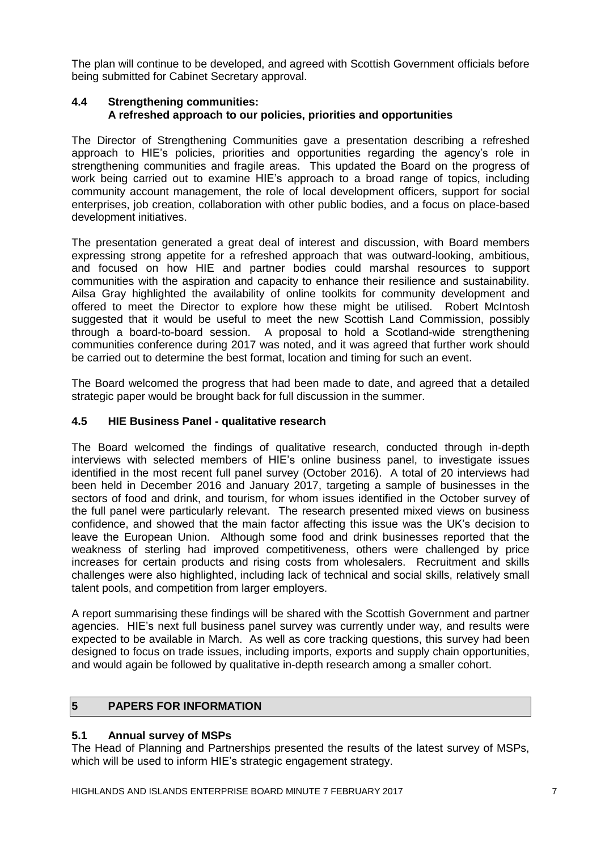The plan will continue to be developed, and agreed with Scottish Government officials before being submitted for Cabinet Secretary approval.

### **4.4 Strengthening communities: A refreshed approach to our policies, priorities and opportunities**

The Director of Strengthening Communities gave a presentation describing a refreshed approach to HIE's policies, priorities and opportunities regarding the agency's role in strengthening communities and fragile areas. This updated the Board on the progress of work being carried out to examine HIE's approach to a broad range of topics, including community account management, the role of local development officers, support for social enterprises, job creation, collaboration with other public bodies, and a focus on place-based development initiatives.

The presentation generated a great deal of interest and discussion, with Board members expressing strong appetite for a refreshed approach that was outward-looking, ambitious, and focused on how HIE and partner bodies could marshal resources to support communities with the aspiration and capacity to enhance their resilience and sustainability. Ailsa Gray highlighted the availability of online toolkits for community development and offered to meet the Director to explore how these might be utilised. Robert McIntosh suggested that it would be useful to meet the new Scottish Land Commission, possibly through a board-to-board session. A proposal to hold a Scotland-wide strengthening communities conference during 2017 was noted, and it was agreed that further work should be carried out to determine the best format, location and timing for such an event.

The Board welcomed the progress that had been made to date, and agreed that a detailed strategic paper would be brought back for full discussion in the summer.

### **4.5 HIE Business Panel - qualitative research**

The Board welcomed the findings of qualitative research, conducted through in-depth interviews with selected members of HIE's online business panel, to investigate issues identified in the most recent full panel survey (October 2016). A total of 20 interviews had been held in December 2016 and January 2017, targeting a sample of businesses in the sectors of food and drink, and tourism, for whom issues identified in the October survey of the full panel were particularly relevant. The research presented mixed views on business confidence, and showed that the main factor affecting this issue was the UK's decision to leave the European Union. Although some food and drink businesses reported that the weakness of sterling had improved competitiveness, others were challenged by price increases for certain products and rising costs from wholesalers. Recruitment and skills challenges were also highlighted, including lack of technical and social skills, relatively small talent pools, and competition from larger employers.

A report summarising these findings will be shared with the Scottish Government and partner agencies. HIE's next full business panel survey was currently under way, and results were expected to be available in March. As well as core tracking questions, this survey had been designed to focus on trade issues, including imports, exports and supply chain opportunities, and would again be followed by qualitative in-depth research among a smaller cohort.

# **5 PAPERS FOR INFORMATION**

### **5.1 Annual survey of MSPs**

The Head of Planning and Partnerships presented the results of the latest survey of MSPs, which will be used to inform HIE's strategic engagement strategy.